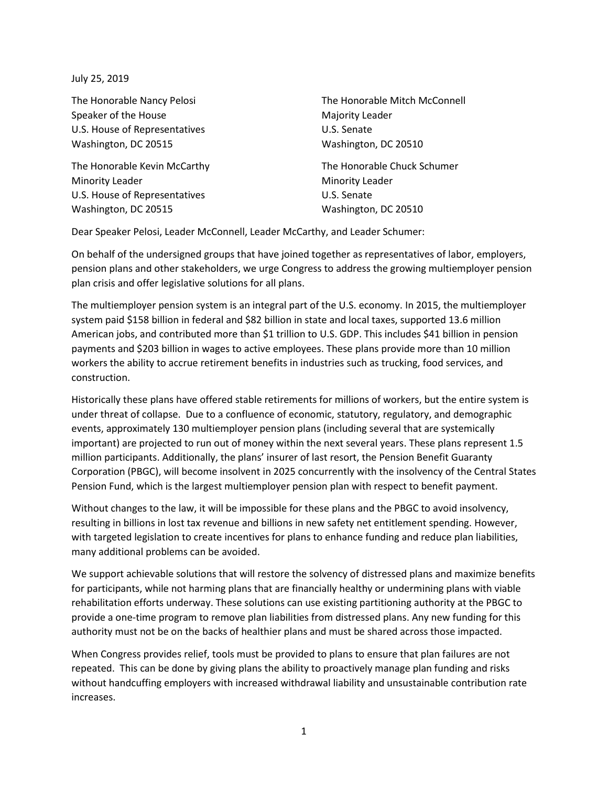July 25, 2019

The Honorable Nancy Pelosi Speaker of the House U.S. House of Representatives Washington, DC 20515

The Honorable Kevin McCarthy Minority Leader U.S. House of Representatives Washington, DC 20515

The Honorable Mitch McConnell Majority Leader U.S. Senate Washington, DC 20510

The Honorable Chuck Schumer Minority Leader U.S. Senate Washington, DC 20510

Dear Speaker Pelosi, Leader McConnell, Leader McCarthy, and Leader Schumer:

On behalf of the undersigned groups that have joined together as representatives of labor, employers, pension plans and other stakeholders, we urge Congress to address the growing multiemployer pension plan crisis and offer legislative solutions for all plans.

The multiemployer pension system is an integral part of the U.S. economy. In 2015, the multiemployer system paid \$158 billion in federal and \$82 billion in state and local taxes, supported 13.6 million American jobs, and contributed more than \$1 trillion to U.S. GDP. This includes \$41 billion in pension payments and \$203 billion in wages to active employees. These plans provide more than 10 million workers the ability to accrue retirement benefits in industries such as trucking, food services, and construction.

Historically these plans have offered stable retirements for millions of workers, but the entire system is under threat of collapse. Due to a confluence of economic, statutory, regulatory, and demographic events, approximately 130 multiemployer pension plans (including several that are systemically important) are projected to run out of money within the next several years. These plans represent 1.5 million participants. Additionally, the plans' insurer of last resort, the Pension Benefit Guaranty Corporation (PBGC), will become insolvent in 2025 concurrently with the insolvency of the Central States Pension Fund, which is the largest multiemployer pension plan with respect to benefit payment.

Without changes to the law, it will be impossible for these plans and the PBGC to avoid insolvency, resulting in billions in lost tax revenue and billions in new safety net entitlement spending. However, with targeted legislation to create incentives for plans to enhance funding and reduce plan liabilities, many additional problems can be avoided.

We support achievable solutions that will restore the solvency of distressed plans and maximize benefits for participants, while not harming plans that are financially healthy or undermining plans with viable rehabilitation efforts underway. These solutions can use existing partitioning authority at the PBGC to provide a one-time program to remove plan liabilities from distressed plans. Any new funding for this authority must not be on the backs of healthier plans and must be shared across those impacted.

When Congress provides relief, tools must be provided to plans to ensure that plan failures are not repeated. This can be done by giving plans the ability to proactively manage plan funding and risks without handcuffing employers with increased withdrawal liability and unsustainable contribution rate increases.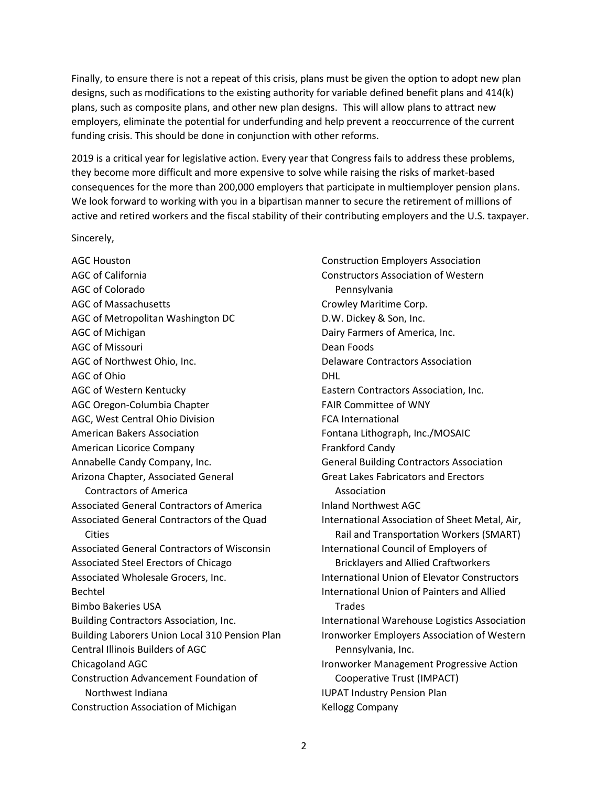Finally, to ensure there is not a repeat of this crisis, plans must be given the option to adopt new plan designs, such as modifications to the existing authority for variable defined benefit plans and 414(k) plans, such as composite plans, and other new plan designs. This will allow plans to attract new employers, eliminate the potential for underfunding and help prevent a reoccurrence of the current funding crisis. This should be done in conjunction with other reforms.

2019 is a critical year for legislative action. Every year that Congress fails to address these problems, they become more difficult and more expensive to solve while raising the risks of market-based consequences for the more than 200,000 employers that participate in multiemployer pension plans. We look forward to working with you in a bipartisan manner to secure the retirement of millions of active and retired workers and the fiscal stability of their contributing employers and the U.S. taxpayer.

Sincerely,

AGC Houston AGC of California AGC of Colorado AGC of Massachusetts AGC of Metropolitan Washington DC AGC of Michigan AGC of Missouri AGC of Northwest Ohio, Inc. AGC of Ohio AGC of Western Kentucky AGC Oregon-Columbia Chapter AGC, West Central Ohio Division American Bakers Association American Licorice Company Annabelle Candy Company, Inc. Arizona Chapter, Associated General Contractors of America Associated General Contractors of America Associated General Contractors of the Quad **Cities** Associated General Contractors of Wisconsin Associated Steel Erectors of Chicago Associated Wholesale Grocers, Inc. Bechtel Bimbo Bakeries USA Building Contractors Association, Inc. Building Laborers Union Local 310 Pension Plan Central Illinois Builders of AGC Chicagoland AGC Construction Advancement Foundation of Northwest Indiana Construction Association of Michigan

Construction Employers Association Constructors Association of Western Pennsylvania Crowley Maritime Corp. D.W. Dickey & Son, Inc. Dairy Farmers of America, Inc. Dean Foods Delaware Contractors Association DHL Eastern Contractors Association, Inc. FAIR Committee of WNY FCA International Fontana Lithograph, Inc./MOSAIC Frankford Candy General Building Contractors Association Great Lakes Fabricators and Erectors Association Inland Northwest AGC International Association of Sheet Metal, Air, Rail and Transportation Workers (SMART) International Council of Employers of Bricklayers and Allied Craftworkers International Union of Elevator Constructors International Union of Painters and Allied Trades International Warehouse Logistics Association Ironworker Employers Association of Western Pennsylvania, Inc. Ironworker Management Progressive Action Cooperative Trust (IMPACT) IUPAT Industry Pension Plan Kellogg Company